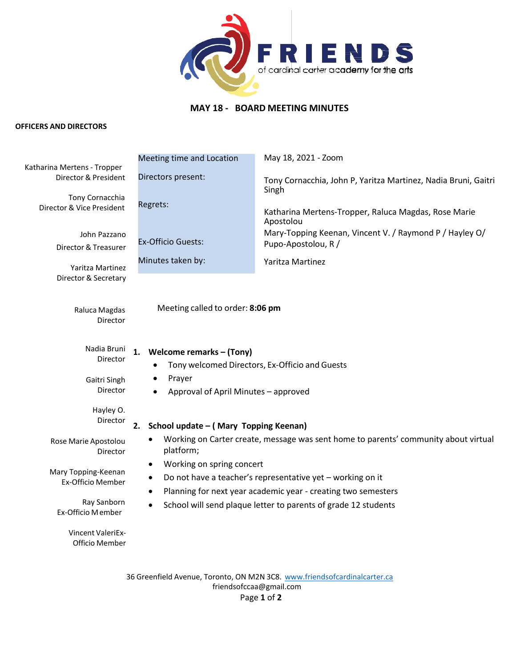

## **MAY 18 - BOARD MEETING MINUTES**

## **OFFICERS AND DIRECTORS**

|                                                     | Meeting time and Location                                                                                                                                                                                                                                                                                                                                | May 18, 2021 - Zoom                                                            |  |  |
|-----------------------------------------------------|----------------------------------------------------------------------------------------------------------------------------------------------------------------------------------------------------------------------------------------------------------------------------------------------------------------------------------------------------------|--------------------------------------------------------------------------------|--|--|
| Katharina Mertens - Tropper<br>Director & President | Directors present:                                                                                                                                                                                                                                                                                                                                       | Tony Cornacchia, John P, Yaritza Martinez, Nadia Bruni, Gaitri<br>Singh        |  |  |
| Tony Cornacchia<br>Director & Vice President        | Regrets:                                                                                                                                                                                                                                                                                                                                                 | Katharina Mertens-Tropper, Raluca Magdas, Rose Marie<br>Apostolou              |  |  |
| John Pazzano<br>Director & Treasurer                | <b>Ex-Officio Guests:</b>                                                                                                                                                                                                                                                                                                                                | Mary-Topping Keenan, Vincent V. / Raymond P / Hayley O/<br>Pupo-Apostolou, R / |  |  |
| Yaritza Martinez                                    | Minutes taken by:                                                                                                                                                                                                                                                                                                                                        | Yaritza Martinez                                                               |  |  |
| Director & Secretary                                |                                                                                                                                                                                                                                                                                                                                                          |                                                                                |  |  |
| Raluca Magdas<br>Director                           | Meeting called to order: 8:06 pm                                                                                                                                                                                                                                                                                                                         |                                                                                |  |  |
| Nadia Bruni<br>Director                             | Welcome remarks - (Tony)<br>1.<br>Tony welcomed Directors, Ex-Officio and Guests                                                                                                                                                                                                                                                                         |                                                                                |  |  |
| Gaitri Singh<br>Director                            | Prayer<br>Approval of April Minutes - approved                                                                                                                                                                                                                                                                                                           |                                                                                |  |  |
| Hayley O.<br>Director                               | School update - (Mary Topping Keenan)<br>2.                                                                                                                                                                                                                                                                                                              |                                                                                |  |  |
| Rose Marie Apostolou<br>Director                    | Working on Carter create, message was sent home to parents' community about virtual<br>platform;<br>Working on spring concert<br>Do not have a teacher's representative yet - working on it<br>Planning for next year academic year - creating two semesters<br>$\bullet$<br>School will send plaque letter to parents of grade 12 students<br>$\bullet$ |                                                                                |  |  |
| Mary Topping-Keenan<br>Ex-Officio Member            |                                                                                                                                                                                                                                                                                                                                                          |                                                                                |  |  |
| Ray Sanborn<br>Ex-Officio Member                    |                                                                                                                                                                                                                                                                                                                                                          |                                                                                |  |  |
| Vincent ValeriEx-<br>Officio Member                 |                                                                                                                                                                                                                                                                                                                                                          |                                                                                |  |  |

36 Greenfield Avenue, Toronto, ON M2N 3C8. [www.friendsofcardinalcarter.ca](http://www.friendsofcardinalcarter.ca/) [friendsofccaa@gmail.com](mailto:friendsofccaa@gmail.com) Page **1** of **2**